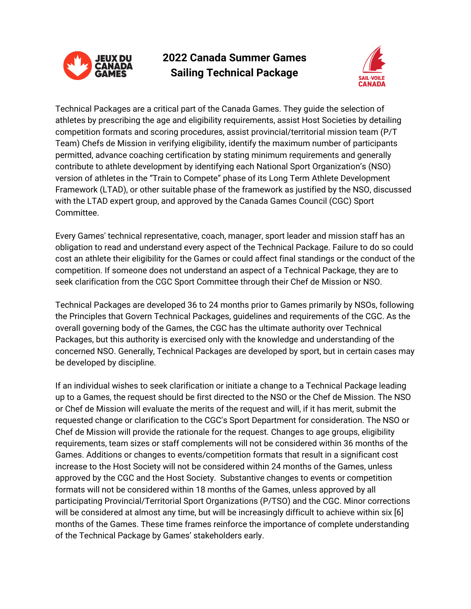

# **2022 Canada Summer Games Sailing Technical Package**



Technical Packages are a critical part of the Canada Games. They guide the selection of athletes by prescribing the age and eligibility requirements, assist Host Societies by detailing competition formats and scoring procedures, assist provincial/territorial mission team (P/T Team) Chefs de Mission in verifying eligibility, identify the maximum number of participants permitted, advance coaching certification by stating minimum requirements and generally contribute to athlete development by identifying each National Sport Organization's (NSO) version of athletes in the "Train to Compete" phase of its Long Term Athlete Development Framework (LTAD), or other suitable phase of the framework as justified by the NSO, discussed with the LTAD expert group, and approved by the Canada Games Council (CGC) Sport Committee.

Every Games' technical representative, coach, manager, sport leader and mission staff has an obligation to read and understand every aspect of the Technical Package. Failure to do so could cost an athlete their eligibility for the Games or could affect final standings or the conduct of the competition. If someone does not understand an aspect of a Technical Package, they are to seek clarification from the CGC Sport Committee through their Chef de Mission or NSO.

Technical Packages are developed 36 to 24 months prior to Games primarily by NSOs, following the Principles that Govern Technical Packages, guidelines and requirements of the CGC. As the overall governing body of the Games, the CGC has the ultimate authority over Technical Packages, but this authority is exercised only with the knowledge and understanding of the concerned NSO. Generally, Technical Packages are developed by sport, but in certain cases may be developed by discipline.

If an individual wishes to seek clarification or initiate a change to a Technical Package leading up to a Games, the request should be first directed to the NSO or the Chef de Mission. The NSO or Chef de Mission will evaluate the merits of the request and will, if it has merit, submit the requested change or clarification to the CGC's Sport Department for consideration. The NSO or Chef de Mission will provide the rationale for the request. Changes to age groups, eligibility requirements, team sizes or staff complements will not be considered within 36 months of the Games. Additions or changes to events/competition formats that result in a significant cost increase to the Host Society will not be considered within 24 months of the Games, unless approved by the CGC and the Host Society. Substantive changes to events or competition formats will not be considered within 18 months of the Games, unless approved by all participating Provincial/Territorial Sport Organizations (P/TSO) and the CGC. Minor corrections will be considered at almost any time, but will be increasingly difficult to achieve within six [6] months of the Games. These time frames reinforce the importance of complete understanding of the Technical Package by Games' stakeholders early.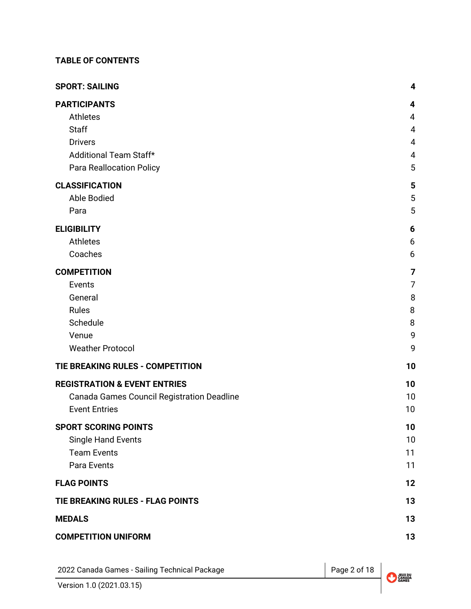## **TABLE OF CONTENTS**

| <b>SPORT: SAILING</b>                      | 4              |
|--------------------------------------------|----------------|
| <b>PARTICIPANTS</b>                        | 4              |
| Athletes                                   | 4              |
| <b>Staff</b>                               | $\overline{4}$ |
| <b>Drivers</b>                             | $\overline{4}$ |
| Additional Team Staff*                     | 4              |
| <b>Para Reallocation Policy</b>            | 5              |
| <b>CLASSIFICATION</b>                      | 5              |
| <b>Able Bodied</b>                         | 5              |
| Para                                       | 5              |
| <b>ELIGIBILITY</b>                         | 6              |
| Athletes                                   | 6              |
| Coaches                                    | 6              |
| <b>COMPETITION</b>                         | 7              |
| Events                                     | 7              |
| General                                    | 8              |
| Rules                                      | 8              |
| Schedule                                   | 8              |
| Venue                                      | 9              |
| <b>Weather Protocol</b>                    | 9              |
| TIE BREAKING RULES - COMPETITION           | 10             |
| <b>REGISTRATION &amp; EVENT ENTRIES</b>    | 10             |
| Canada Games Council Registration Deadline | 10             |
| <b>Event Entries</b>                       | 10             |
| <b>SPORT SCORING POINTS</b>                | 10             |
| <b>Single Hand Events</b>                  | 10             |
| <b>Team Events</b>                         | 11             |
| Para Events                                | 11             |
| <b>FLAG POINTS</b>                         | 12             |
| TIE BREAKING RULES - FLAG POINTS           | 13             |
| <b>MEDALS</b>                              | 13             |
| <b>COMPETITION UNIFORM</b>                 | 13             |

2022 Canada Games - Sailing Technical Package Page 2 of 18

JEUX DU<br>CANADA<br>GAMES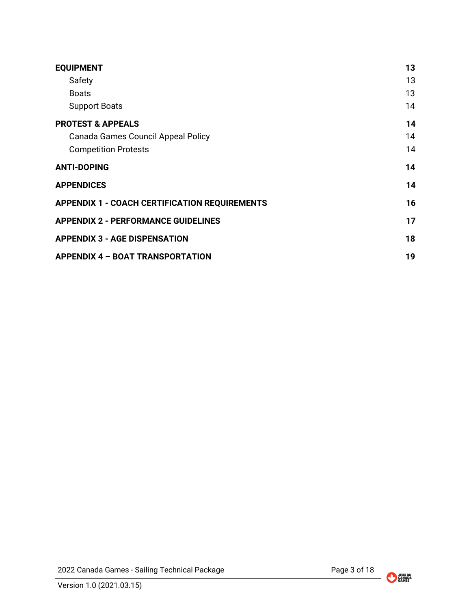| <b>EQUIPMENT</b>                                     | 13 |
|------------------------------------------------------|----|
| Safety                                               | 13 |
| <b>Boats</b>                                         | 13 |
| <b>Support Boats</b>                                 | 14 |
| <b>PROTEST &amp; APPEALS</b>                         | 14 |
| Canada Games Council Appeal Policy                   | 14 |
| <b>Competition Protests</b>                          | 14 |
| <b>ANTI-DOPING</b>                                   | 14 |
| <b>APPENDICES</b>                                    | 14 |
| <b>APPENDIX 1 - COACH CERTIFICATION REQUIREMENTS</b> | 16 |
| <b>APPENDIX 2 - PERFORMANCE GUIDELINES</b>           | 17 |
| <b>APPENDIX 3 - AGE DISPENSATION</b>                 | 18 |
| <b>APPENDIX 4 - BOAT TRANSPORTATION</b>              | 19 |

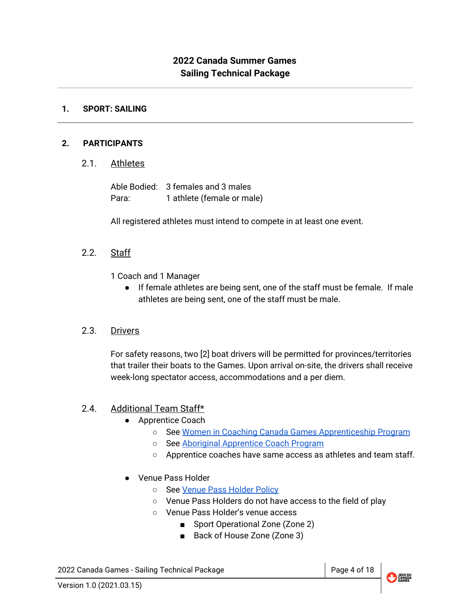## **2022 Canada Summer Games Sailing Technical Package**

#### <span id="page-3-0"></span>**1. SPORT: SAILING**

#### <span id="page-3-2"></span><span id="page-3-1"></span>**2. PARTICIPANTS**

2.1. Athletes

Able Bodied: 3 females and 3 males Para: 1 athlete (female or male)

All registered athletes must intend to compete in at least one event.

2.2. Staff

1 Coach and 1 Manager

● If female athletes are being sent, one of the staff must be female. If male athletes are being sent, one of the staff must be male.

## 2.3. Drivers

For safety reasons, two [2] boat drivers will be permitted for provinces/territories that trailer their boats to the Games. Upon arrival on-site, the drivers shall receive week-long spectator access, accommodations and a per diem.

## <span id="page-3-3"></span>2.4. Additional Team Staff\*

- Apprentice Coach
	- See Women in Coaching Canada Games [Apprenticeship](http://www.coach.ca/-p157337) Program
	- See Aboriginal [Apprentice](http://www.coach.ca/aboriginal-coaching-appreticeship-program-p158252) Coach Program
	- Apprentice coaches have same access as athletes and team staff.
- Venue Pass Holder
	- o See Venue Pass [Holder](https://drive.google.com/open?id=1i7Ggys8k7Rvy8qxCPVmjc3NjQLcR_-R2) Policy
	- Venue Pass Holders do not have access to the field of play
	- Venue Pass Holder's venue access
		- Sport Operational Zone (Zone 2)
		- Back of House Zone (Zone 3)

2022 Canada Games - Sailing Technical Package Page 1 and Road Page 4 of 18

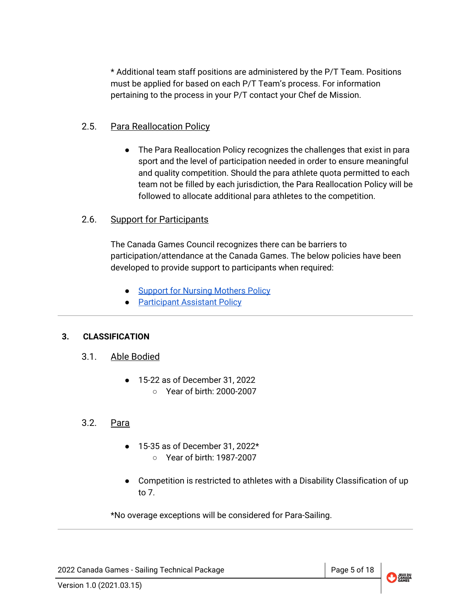\* Additional team staff positions are administered by the P/T Team. Positions must be applied for based on each P/T Team's process. For information pertaining to the process in your P/T contact your Chef de Mission.

## <span id="page-4-0"></span>2.5. Para Reallocation Policy

● The Para Reallocation Policy recognizes the challenges that exist in para sport and the level of participation needed in order to ensure meaningful and quality competition. Should the para athlete quota permitted to each team not be filled by each jurisdiction, the Para Reallocation Policy will be followed to allocate additional para athletes to the competition.

## 2.6. Support for Participants

The Canada Games Council recognizes there can be barriers to participation/attendance at the Canada Games. The below policies have been developed to provide support to participants when required:

- Support for Nursing [Mothers](https://drive.google.com/file/d/1Jiti9hwV4WCMQWroE7cpzRXtiGkzyuX-/view?usp=sharing) Policy
- [Participant](https://drive.google.com/file/d/1-ifklrlx5lwrWPUt5UUZwKxeSwcYqOa7/view?usp=sharing) Assistant Policy

## <span id="page-4-2"></span><span id="page-4-1"></span>**3. CLASSIFICATION**

- 3.1. Able Bodied
	- 15-22 as of December 31, 2022 ○ Year of birth: 2000-2007

## <span id="page-4-3"></span>3.2. Para

- 15-35 as of December 31, 2022\* ○ Year of birth: 1987-2007
- Competition is restricted to athletes with a Disability Classification of up to 7.

\*No overage exceptions will be considered for Para-Sailing.

2022 Canada Games - Sailing Technical Package Page 10 Page 5 of 18

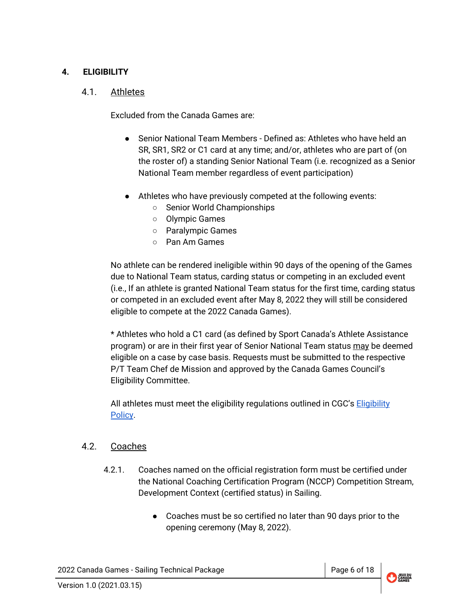## <span id="page-5-1"></span><span id="page-5-0"></span>**4. ELIGIBILITY**

#### 4.1. Athletes

Excluded from the Canada Games are:

- Senior National Team Members Defined as: Athletes who have held an SR, SR1, SR2 or C1 card at any time; and/or, athletes who are part of (on the roster of) a standing Senior National Team (i.e. recognized as a Senior National Team member regardless of event participation)
- Athletes who have previously competed at the following events:
	- Senior World Championships
	- Olympic Games
	- Paralympic Games
	- Pan Am Games

No athlete can be rendered ineligible within 90 days of the opening of the Games due to National Team status, carding status or competing in an excluded event (i.e., If an athlete is granted National Team status for the first time, carding status or competed in an excluded event after May 8, 2022 they will still be considered eligible to compete at the 2022 Canada Games).

\* Athletes who hold a C1 card (as defined by Sport Canada's Athlete Assistance program) or are in their first year of Senior National Team status may be deemed eligible on a case by case basis. Requests must be submitted to the respective P/T Team Chef de Mission and approved by the Canada Games Council's Eligibility Committee.

All athletes must meet the eligibility regulations outlined in CGC's [Eligibility](https://drive.google.com/file/d/1wUszKUOf7U-2GvIpWw7vTUdqfha5f0UW/view?usp=sharing) [Policy](https://drive.google.com/file/d/1wUszKUOf7U-2GvIpWw7vTUdqfha5f0UW/view?usp=sharing).

## <span id="page-5-2"></span>4.2. Coaches

- 4.2.1. Coaches named on the official registration form must be certified under the National Coaching Certification Program (NCCP) Competition Stream, Development Context (certified status) in Sailing.
	- Coaches must be so certified no later than 90 days prior to the opening ceremony (May 8, 2022).

2022 Canada Games - Sailing Technical Package Page 18 and Research 18 and Page 6 of 18

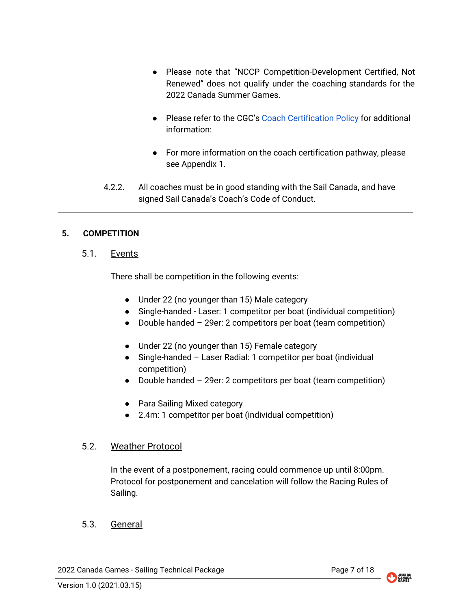- Please note that "NCCP Competition-Development Certified, Not Renewed" does not qualify under the coaching standards for the 2022 Canada Summer Games.
- Please refer to the CGC's Coach [Certification](https://drive.google.com/open?id=1G3R4LPSxy5bc_IZALgwLYqQzOpxFSm4x) Policy for additional information:
- For more information on the coach certification pathway, please see Appendix 1.
- 4.2.2. All coaches must be in good standing with the Sail Canada, and have signed Sail Canada's Coach's Code of Conduct.

## <span id="page-6-1"></span><span id="page-6-0"></span>**5. COMPETITION**

## 5.1. Events

There shall be competition in the following events:

- Under 22 (no younger than 15) Male category
- Single-handed Laser: 1 competitor per boat (individual competition)
- Double handed 29er: 2 competitors per boat (team competition)
- Under 22 (no younger than 15) Female category
- Single-handed Laser Radial: 1 competitor per boat (individual competition)
- Double handed 29er: 2 competitors per boat (team competition)
- Para Sailing Mixed category
- 2.4m: 1 competitor per boat (individual competition)

## 5.2. Weather Protocol

In the event of a postponement, racing could commence up until 8:00pm. Protocol for postponement and cancelation will follow the Racing Rules of Sailing.

## 5.3. General

2022 Canada Games - Sailing Technical Package Page 7 of 18

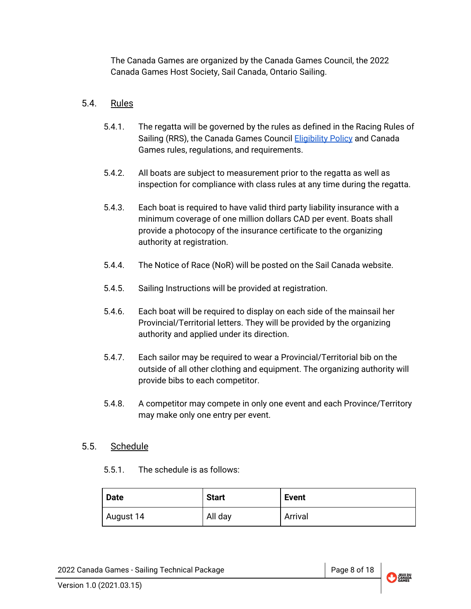The Canada Games are organized by the Canada Games Council, the 2022 Canada Games Host Society, Sail Canada, Ontario Sailing.

## <span id="page-7-0"></span>5.4. Rules

- 5.4.1. The regatta will be governed by the rules as defined in the Racing Rules of Sailing (RRS), the Canada Games Council **[Eligibility](https://drive.google.com/file/d/1wUszKUOf7U-2GvIpWw7vTUdqfha5f0UW/view?usp=sharing) Policy** and Canada Games rules, regulations, and requirements.
- 5.4.2. All boats are subject to measurement prior to the regatta as well as inspection for compliance with class rules at any time during the regatta.
- 5.4.3. Each boat is required to have valid third party liability insurance with a minimum coverage of one million dollars CAD per event. Boats shall provide a photocopy of the insurance certificate to the organizing authority at registration.
- 5.4.4. The Notice of Race (NoR) will be posted on the Sail Canada website.
- 5.4.5. Sailing Instructions will be provided at registration.
- 5.4.6. Each boat will be required to display on each side of the mainsail her Provincial/Territorial letters. They will be provided by the organizing authority and applied under its direction.
- 5.4.7. Each sailor may be required to wear a Provincial/Territorial bib on the outside of all other clothing and equipment. The organizing authority will provide bibs to each competitor.
- 5.4.8. A competitor may compete in only one event and each Province/Territory may make only one entry per event.

## <span id="page-7-1"></span>5.5. Schedule

5.5.1. The schedule is as follows:

| <b>Date</b> | <b>Start</b> | <b>Event</b> |
|-------------|--------------|--------------|
| August 14   | All day      | Arrival      |

2022 Canada Games - Sailing Technical Package Page 8 of 18

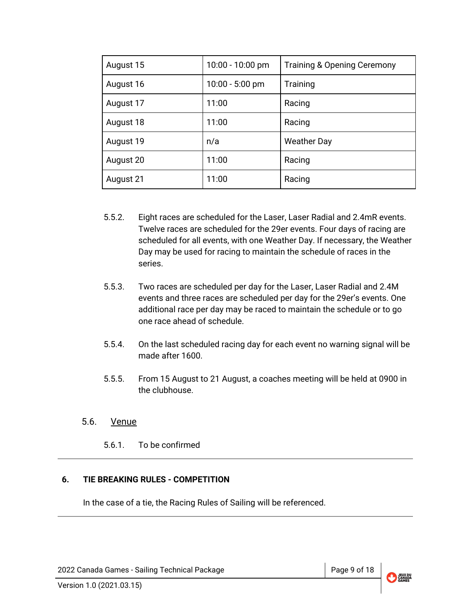| August 15 | 10:00 - 10:00 pm  | <b>Training &amp; Opening Ceremony</b> |
|-----------|-------------------|----------------------------------------|
| August 16 | $10:00 - 5:00$ pm | Training                               |
| August 17 | 11:00             | Racing                                 |
| August 18 | 11:00             | Racing                                 |
| August 19 | n/a               | <b>Weather Day</b>                     |
| August 20 | 11:00             | Racing                                 |
| August 21 | 11:00             | Racing                                 |

- 5.5.2. Eight races are scheduled for the Laser, Laser Radial and 2.4mR events. Twelve races are scheduled for the 29er events. Four days of racing are scheduled for all events, with one Weather Day. If necessary, the Weather Day may be used for racing to maintain the schedule of races in the series.
- 5.5.3. Two races are scheduled per day for the Laser, Laser Radial and 2.4M events and three races are scheduled per day for the 29er's events. One additional race per day may be raced to maintain the schedule or to go one race ahead of schedule.
- 5.5.4. On the last scheduled racing day for each event no warning signal will be made after 1600.
- 5.5.5. From 15 August to 21 August, a coaches meeting will be held at 0900 in the clubhouse.

## <span id="page-8-0"></span>5.6. Venue

5.6.1. To be confirmed

## <span id="page-8-1"></span>**6. TIE BREAKING RULES - COMPETITION**

In the case of a tie, the Racing Rules of Sailing will be referenced.

2022 Canada Games - Sailing Technical Package Page 9 of 18

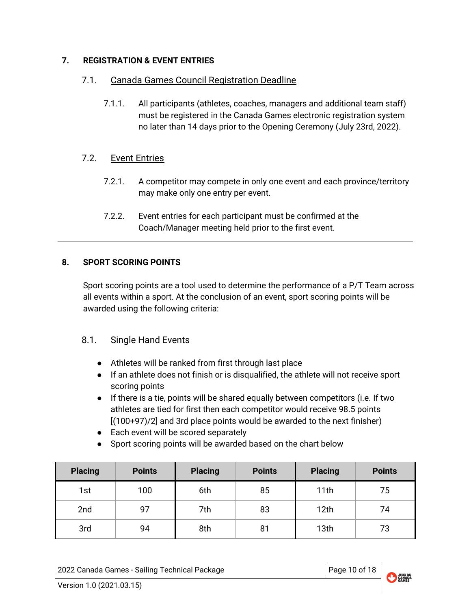## <span id="page-9-1"></span><span id="page-9-0"></span>**7. REGISTRATION & EVENT ENTRIES**

## 7.1. Canada Games Council Registration Deadline

7.1.1. All participants (athletes, coaches, managers and additional team staff) must be registered in the Canada Games electronic registration system no later than 14 days prior to the Opening Ceremony (July 23rd, 2022).

## <span id="page-9-2"></span>7.2. Event Entries

- 7.2.1. A competitor may compete in only one event and each province/territory may make only one entry per event.
- 7.2.2. Event entries for each participant must be confirmed at the Coach/Manager meeting held prior to the first event.

## <span id="page-9-3"></span>**8. SPORT SCORING POINTS**

Sport scoring points are a tool used to determine the performance of a P/T Team across all events within a sport. At the conclusion of an event, sport scoring points will be awarded using the following criteria:

## <span id="page-9-4"></span>8.1. Single Hand Events

- Athletes will be ranked from first through last place
- If an athlete does not finish or is disqualified, the athlete will not receive sport scoring points
- If there is a tie, points will be shared equally between competitors (i.e. If two athletes are tied for first then each competitor would receive 98.5 points [(100+97)/2] and 3rd place points would be awarded to the next finisher)
- Each event will be scored separately
- Sport scoring points will be awarded based on the chart below

| <b>Placing</b> | <b>Points</b> | <b>Placing</b> | <b>Points</b> | <b>Placing</b>   | <b>Points</b> |
|----------------|---------------|----------------|---------------|------------------|---------------|
| 1st            | 100           | 6th            | 85            | 11th             | 75            |
| 2nd            | 97            | 7th            | 83            | 12th             | 74            |
| 3rd            | 94            | 8th            | 81            | 13 <sub>th</sub> | 73            |

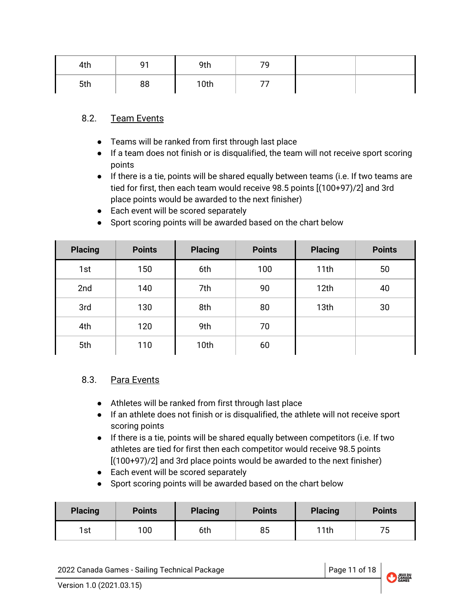| 4th | ۵۰ | 9th  | 70<br>ч |  |
|-----|----|------|---------|--|
| 5th | 88 | 10th |         |  |

## 8.2. Team Events

- Teams will be ranked from first through last place
- If a team does not finish or is disqualified, the team will not receive sport scoring points
- If there is a tie, points will be shared equally between teams (i.e. If two teams are tied for first, then each team would receive 98.5 points [(100+97)/2] and 3rd place points would be awarded to the next finisher)
- Each event will be scored separately

| <b>Placing</b> | <b>Points</b> | <b>Placing</b> | <b>Points</b> | <b>Placing</b> | <b>Points</b> |
|----------------|---------------|----------------|---------------|----------------|---------------|
| 1st            | 150           | 6th            | 100           | 11th           | 50            |
| 2nd            | 140           | 7th            | 90            | 12th           | 40            |
| 3rd            | 130           | 8th            | 80            | 13th           | 30            |
| 4th            | 120           | 9th            | 70            |                |               |
| 5th            | 110           | 10th           | 60            |                |               |

● Sport scoring points will be awarded based on the chart below

## <span id="page-10-0"></span>8.3. Para Events

- Athletes will be ranked from first through last place
- If an athlete does not finish or is disqualified, the athlete will not receive sport scoring points
- If there is a tie, points will be shared equally between competitors (i.e. If two athletes are tied for first then each competitor would receive 98.5 points [(100+97)/2] and 3rd place points would be awarded to the next finisher)
- Each event will be scored separately
- Sport scoring points will be awarded based on the chart below

| <b>Placing</b> | <b>Points</b> | <b>Placing</b> | <b>Points</b> | <b>Placing</b> | <b>Points</b> |
|----------------|---------------|----------------|---------------|----------------|---------------|
| 1st            | 100           | 6th            | 85            | 11th           | 75            |

2022 Canada Games - Sailing Technical Package Page 11 of 18

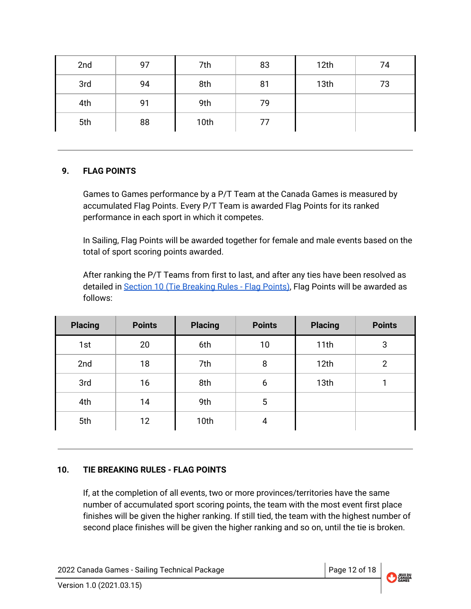| 2nd | 97 | 7th  | 83 | 12th | 74 |
|-----|----|------|----|------|----|
| 3rd | 94 | 8th  | 81 | 13th | 73 |
| 4th | 91 | 9th  | 79 |      |    |
| 5th | 88 | 10th | 77 |      |    |

## <span id="page-11-0"></span>**9. FLAG POINTS**

Games to Games performance by a P/T Team at the Canada Games is measured by accumulated Flag Points. Every P/T Team is awarded Flag Points for its ranked performance in each sport in which it competes.

In Sailing, Flag Points will be awarded together for female and male events based on the total of sport scoring points awarded.

After ranking the P/T Teams from first to last, and after any ties have been resolved as detailed in Section 10 (Tie [Breaking](#page-11-1) Rules - Flag Points), Flag Points will be awarded as follows:

| <b>Placing</b> | <b>Points</b> | <b>Placing</b> | <b>Points</b> | <b>Placing</b> | <b>Points</b>  |
|----------------|---------------|----------------|---------------|----------------|----------------|
| 1st            | 20            | 6th            | 10            | 11th           | 3              |
| 2nd            | 18            | 7th            | 8             | 12th           | $\overline{2}$ |
| 3rd            | 16            | 8th            | 6             | 13th           |                |
| 4th            | 14            | 9th            | 5             |                |                |
| 5th            | 12            | 10th           | 4             |                |                |

## <span id="page-11-1"></span>**10. TIE BREAKING RULES - FLAG POINTS**

If, at the completion of all events, two or more provinces/territories have the same number of accumulated sport scoring points, the team with the most event first place finishes will be given the higher ranking. If still tied, the team with the highest number of second place finishes will be given the higher ranking and so on, until the tie is broken.

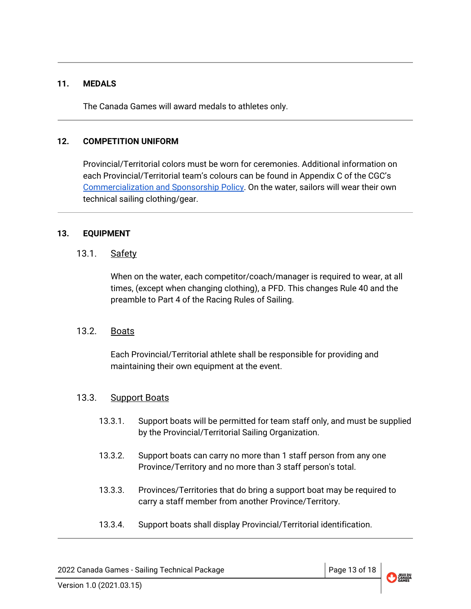#### <span id="page-12-0"></span>**11. MEDALS**

The Canada Games will award medals to athletes only.

#### <span id="page-12-1"></span>**12. COMPETITION UNIFORM**

Provincial/Territorial colors must be worn for ceremonies. Additional information on each Provincial/Territorial team's colours can be found in Appendix C of the CGC's [Commercialization](https://drive.google.com/file/d/1vMbiA2HctQIuBGM_NmMtRi0hMPPDlMQb/view?usp=sharing) and Sponsorship Policy. On the water, sailors will wear their own technical sailing clothing/gear.

#### <span id="page-12-3"></span><span id="page-12-2"></span>**13. EQUIPMENT**

#### 13.1. Safety

When on the water, each competitor/coach/manager is required to wear, at all times, (except when changing clothing), a PFD. This changes Rule 40 and the preamble to Part 4 of the Racing Rules of Sailing.

## <span id="page-12-4"></span>13.2. Boats

Each Provincial/Territorial athlete shall be responsible for providing and maintaining their own equipment at the event.

#### <span id="page-12-5"></span>13.3. Support Boats

- 13.3.1. Support boats will be permitted for team staff only, and must be supplied by the Provincial/Territorial Sailing Organization.
- 13.3.2. Support boats can carry no more than 1 staff person from any one Province/Territory and no more than 3 staff person's total.
- 13.3.3. Provinces/Territories that do bring a support boat may be required to carry a staff member from another Province/Territory.
- 13.3.4. Support boats shall display Provincial/Territorial identification.

2022 Canada Games - Sailing Technical Package Page 13 of 18

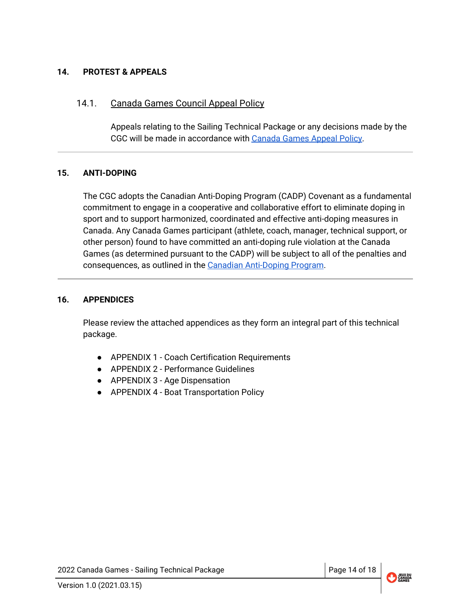#### <span id="page-13-0"></span>**14. PROTEST & APPEALS**

#### <span id="page-13-1"></span>14.1. Canada Games Council Appeal Policy

Appeals relating to the Sailing Technical Package or any decisions made by the CGC will be made in accordance with [Canada](https://drive.google.com/file/d/14PkgYQ4XRpXKFR2DO2MX31tRuLg5tNZ8/view?usp=sharing) Games Appeal Policy.

#### <span id="page-13-2"></span>**15. ANTI-DOPING**

The CGC adopts the Canadian Anti-Doping Program (CADP) Covenant as a fundamental commitment to engage in a cooperative and collaborative effort to eliminate doping in sport and to support harmonized, coordinated and effective anti-doping measures in Canada. Any Canada Games participant (athlete, coach, manager, technical support, or other person) found to have committed an anti-doping rule violation at the Canada Games (as determined pursuant to the CADP) will be subject to all of the penalties and consequences, as outlined in the Canadian [Anti-Doping](https://cces.ca/sites/default/files/content/docs/pdf/cces-policy-cadp-2015-v2-e.pdf) Program.

#### <span id="page-13-3"></span>**16. APPENDICES**

Please review the attached appendices as they form an integral part of this technical package.

- APPENDIX 1 Coach Certification Requirements
- APPENDIX 2 Performance Guidelines
- APPENDIX 3 Age Dispensation
- <span id="page-13-4"></span>● APPENDIX 4 - Boat Transportation Policy

2022 Canada Games - Sailing Technical Package Page 14 of 18

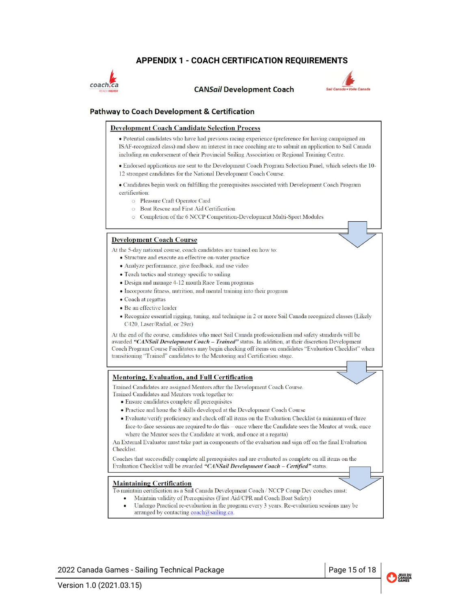#### **APPENDIX 1 - COACH CERTIFICATION REQUIREMENTS**



**CANSail Development Coach** 



#### **Pathway to Coach Development & Certification**

#### **Development Coach Candidate Selection Process**

· Potential candidates who have had previous racing experience (preference for having campaigned an ISAF-recognized class) and show an interest in race coaching are to submit an application to Sail Canada including an endorsement of their Provincial Sailing Association or Regional Training Centre.

· Endorsed applications are sent to the Development Coach Program Selection Panel, which selects the 10-12 strongest candidates for the National Development Coach Course.

• Candidates begin work on fulfilling the prerequisites associated with Development Coach Program certification:

- O Pleasure Craft Operator Card
- **O** Boat Rescue and First Aid Certification
- O Completion of the 6 NCCP Competition-Development Multi-Sport Modules

#### **Development Coach Course**

At the 5-day national course, coach candidates are trained on how to:

- Structure and execute an effective on-water practice
- · Analyze performance, give feedback, and use video
- Teach tactics and strategy specific to sailing
- Design and manage 4-12 month Race Team programs
- Incorporate fitness, nutrition, and mental training into their program
- Coach at regattas
- · Be an effective leader
- Recognize essential rigging, tuning, and technique in 2 or more Sail Canada recognized classes (Likely C420, Laser/Radial, or 29er)

At the end of the course, candidates who meet Sail Canada professionalism and safety standards will be awarded "CANSail Development Coach - Trained" status. In addition, at their discretion Development Coach Program Course Facilitators may begin checking off items on candidates "Evaluation Checklist" when transitioning "Trained" candidates to the Mentoring and Certification stage.

#### **Mentoring, Evaluation, and Full Certification**

Trained Candidates are assigned Mentors after the Development Coach Course.

- Trained Candidates and Mentors work together to:
	- · Ensure candidates complete all prerequisites
	- Practice and hone the 8 skills developed at the Development Coach Course
	- Evaluate/verify proficiency and check off all items on the Evaluation Checklist (a minimum of three face-to-face sessions are required to do this - once where the Candidate sees the Mentor at work, once where the Mentor sees the Candidate at work, and once at a regatta)

An External Evaluator must take part in components of the evaluation and sign off on the final Evaluation Checklist.

Coaches that successfully complete all prerequisites and are evaluated as complete on all items on the Evaluation Checklist will be awarded "CANSail Development Coach - Certified" status.

#### **Maintaining Certification**

To maintain certification as a Sail Canada Development Coach / NCCP Comp Dev coaches must:

- Maintain validity of Prerequisites (First Aid/CPR and Coach Boat Safety)
- Undergo Practical re-evaluation in the program every 3 years. Re-evaluation sessions may be arranged by contacting coach@sailing.ca.

2022 Canada Games - Sailing Technical Package Page 15 of 18

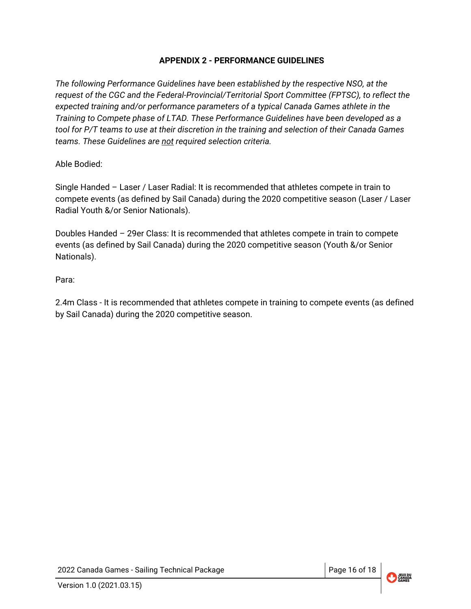## **APPENDIX 2 - PERFORMANCE GUIDELINES**

<span id="page-15-0"></span>*The following Performance Guidelines have been established by the respective NSO, at the request of the CGC and the Federal-Provincial/Territorial Sport Committee (FPTSC), to reflect the expected training and/or performance parameters of a typical Canada Games athlete in the Training to Compete phase of LTAD. These Performance Guidelines have been developed as a tool for P/T teams to use at their discretion in the training and selection of their Canada Games teams. These Guidelines are not required selection criteria.*

Able Bodied:

Single Handed – Laser / Laser Radial: It is recommended that athletes compete in train to compete events (as defined by Sail Canada) during the 2020 competitive season (Laser / Laser Radial Youth &/or Senior Nationals).

Doubles Handed – 29er Class: It is recommended that athletes compete in train to compete events (as defined by Sail Canada) during the 2020 competitive season (Youth &/or Senior Nationals).

Para:

2.4m Class - It is recommended that athletes compete in training to compete events (as defined by Sail Canada) during the 2020 competitive season.

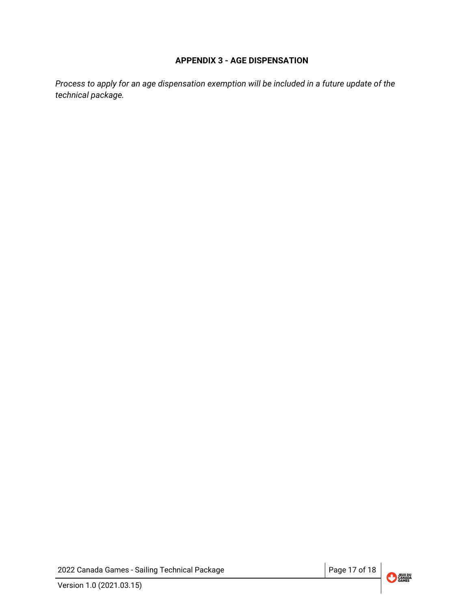#### **APPENDIX 3 - AGE DISPENSATION**

<span id="page-16-0"></span>*Process to apply for an age dispensation exemption will be included in a future update of the technical package.*

2022 Canada Games - Sailing Technical Package Page 17 of 18